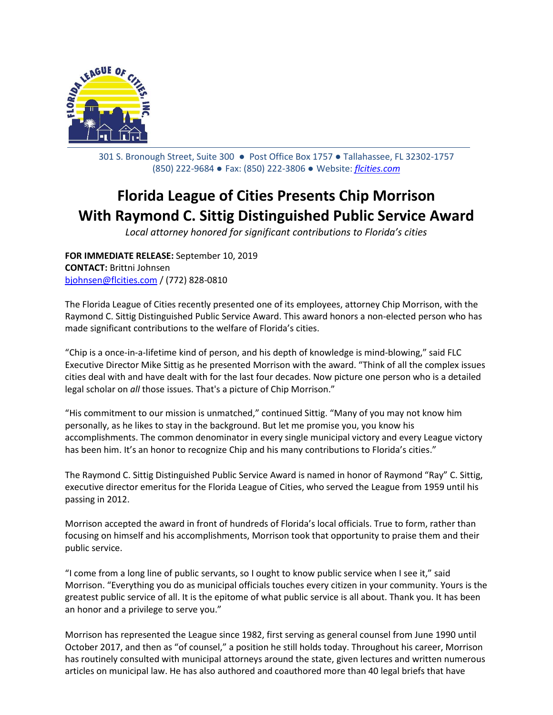

301 S. Bronough Street, Suite 300 ● Post Office Box 1757 ● Tallahassee, FL 32302-1757 (850) 222-9684 ● Fax: (850) 222-3806 ● Website: *[flcities.com](http://www.flcities.com/)*

## **Florida League of Cities Presents Chip Morrison With Raymond C. Sittig Distinguished Public Service Award**

*Local attorney honored for significant contributions to Florida's cities*

**FOR IMMEDIATE RELEASE:** September 10, 2019 **CONTACT:** Brittni Johnsen [bjohnsen@flcities.com](mailto:bjohnsen@flcities.com) / (772) 828-0810

The Florida League of Cities recently presented one of its employees, attorney Chip Morrison, with the Raymond C. Sittig Distinguished Public Service Award. This award honors a non-elected person who has made significant contributions to the welfare of Florida's cities.

"Chip is a once-in-a-lifetime kind of person, and his depth of knowledge is mind-blowing," said FLC Executive Director Mike Sittig as he presented Morrison with the award. "Think of all the complex issues cities deal with and have dealt with for the last four decades. Now picture one person who is a detailed legal scholar on *all* those issues. That's a picture of Chip Morrison."

"His commitment to our mission is unmatched," continued Sittig. "Many of you may not know him personally, as he likes to stay in the background. But let me promise you, you know his accomplishments. The common denominator in every single municipal victory and every League victory has been him. It's an honor to recognize Chip and his many contributions to Florida's cities."

The Raymond C. Sittig Distinguished Public Service Award is named in honor of Raymond "Ray" C. Sittig, executive director emeritus for the Florida League of Cities, who served the League from 1959 until his passing in 2012.

Morrison accepted the award in front of hundreds of Florida's local officials. True to form, rather than focusing on himself and his accomplishments, Morrison took that opportunity to praise them and their public service.

"I come from a long line of public servants, so I ought to know public service when I see it," said Morrison. "Everything you do as municipal officials touches every citizen in your community. Yours is the greatest public service of all. It is the epitome of what public service is all about. Thank you. It has been an honor and a privilege to serve you."

Morrison has represented the League since 1982, first serving as general counsel from June 1990 until October 2017, and then as "of counsel," a position he still holds today. Throughout his career, Morrison has routinely consulted with municipal attorneys around the state, given lectures and written numerous articles on municipal law. He has also authored and coauthored more than 40 legal briefs that have